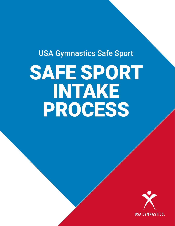USA Gymnastics Safe Sport

# SAFE SPORT INTAKE PROCESS

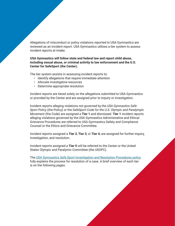Allegations of misconduct or policy violations reported to USA Gymnastics are reviewed as an incident report. USA Gymnastics utilizes a tier system to assess incident reports at intake.

**USA Gymnastics will follow state and federal law and report child abuse, including sexual abuse, or criminal activity to law enforcement and the U.S. Center for SafeSport (the Center).**

The tier system assists in assessing incident reports to:

- Identify allegations that require immediate attention
- Allocate investigative resources
- Determine appropriate resolution

Incident reports are tiered solely on the allegations submitted to USA Gymnastics or provided by the Center and are assigned prior to inquiry or investigation.

Incident reports alleging violations not governed by the *USA Gymnastics Safe Sport Policy* (the Policy) or the *SafeSport Code for the U.S. Olympic and Paralympic Movement* (the Code) are assigned a **Tier 1** and dismissed. **Tier 1** incident reports alleging violations governed by the USA Gymnastics Administrative and Ethical Grievance Procedures are referred to USA Gymnastics Safety and Compliance Counsel or the Ethics and Grievance Committee.

Incident reports assigned a **Tier 2**, **Tier 3**, or **Tier 4**, are assigned for further inquiry, investigation, and resolution.

Incident reports assigned a **Tier 5** will be referred to the Center or the United States Olympic and Paralymic Committee (the USOPC).

The [USA Gymnastics Safe Sport Investigation and Resolution Procedures policy](https://usagym.org/PDFs/safesport/procedures.pdf) fully explains the process for resolution of a case. A brief overview of each tier is on the following pages.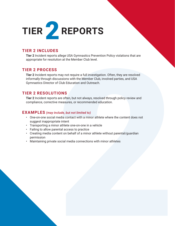

# **TIER 2 INCLUDES**

**Tier 2** Incident reports allege USA Gymnastics Prevention Policy violations that are appropriate for resolution at the Member Club level.

#### **TIER 2 PROCESS**

allege USA Gymnastics Prevention Policy violations that are<br>ion at the Member Club level.<br>may not require a full investigation. Often, they are resolved<br>usualons with the Member Club, involved parties, and USA<br>Club Educati **Tier 2** Incident reports may not require a full investigation. Often, they are resolved informally through discussions with the Member Club, involved parties, and USA Gymnastics Director of Club Education and Outreach.

# **TIER 2 RESOLUTIONS**

**Tier 2** Incident reports are often, but not always, resolved through policy review and compliance, corrective measures, or recommended education.

- One-on-one social media contact with a minor athlete where the content does not suggest inappropriate intent
- Transporting a minor athlete one-on-one in a vehicle
- Failing to allow parental access to practice
- Creating media content on behalf of a minor athlete without parental/guardian permission
- Maintaining private social media connections with minor athletes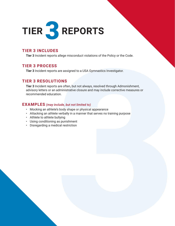

#### **TIER 3 INCLUDES**

**Tier 3** Incident reports allege misconduct violations of the Policy or the Code.

# **TIER 3 PROCESS**

**Tier 3** Incident reports are assigned to a USA Gymnastics Investigator.

# **TIER 3 RESOLUTIONS**

allege misconduct violations of the Policy or the Code.<br>are assigned to a USA Gymnastics investigator.<br>10 NS<br>are often, but not always, resolved through Admonishment,<br>then<br>therministrative closure and may include correctiv **Tier 3** Incident reports are often, but not always, resolved through Admonishment, advisory letters or an administrative closure and may include corrective measures or recommended education.

- Mocking an athlete's body shape or physical appearance
- Attacking an athlete verbally in a manner that serves no training purpose
- Athlete to athlete bullying
- Using conditioning as punishment
- Disregarding a medical restriction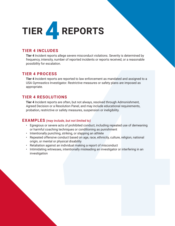

# **TIER 4 INCLUDES**

**Tier 4** Incident reports allege severe misconduct violations. Severity is determined by frequency, intensity, number of reported incidents or reports received, or a reasonable possibility for escalation.

# **TIER 4 PROCESS**

The 4 included reports allege essere misconduct violations. Severity is determined by<br>
frequency, intensity, number of reported incidents or reports received, or a reasonable<br>
possibility for exclusion.<br>
TIER 4 PROCESS<br>
TH **Tier 4** Incident reports are reported to law enforcement as mandated and assigned to a USA Gymnastics Investigator. Restrictive measures or safety plans are imposed as appropriate.

# **TIER 4 RESOLUTIONS**

**Tier 4** Incident reports are often, but not always, resolved through Admonishment, Agreed Decision or a Resolution Panel, and may include educational requirements, probation, restrictive or safety measures, suspension or ineligibility.

- Egregious or severe acts of prohibited conduct, including repeated use of demeaning or harmful coaching techniques or conditioning as punishment
- Intentionally punching, striking, or slapping an athlete
- Repeated offensive conduct based on age, race, ethnicity, culture, religion, national origin, or mental or physical disability
- Retaliation against an individual making a report of misconduct
- Intimidating witnesses, intentionally misleading an investigator or interfering in an investigation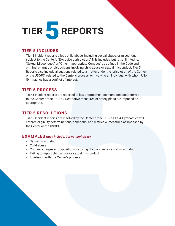

#### **TIER 5 INCLUDES**

allege child abuse, including sexual abuse, or misconduct in "Exclusive direction". This includes, but is not limited to, "Schemel in the Code and imconduct as defined in the Code and misconduct and misconduct the prospect **Tier 5** Incident reports allege child abuse, including sexual abuse, or misconduct subject to the Center's "Exclusive Jurisdiction." This includes, but is not limited to, "Sexual Misconduct" or "Other Inappropriate Conduct" as defined in the Code and criminal charges or dispositions involving child abuse or sexual misconduct. Tier 5 Reports also include allegations related to a matter under the jurisdiction of the Center or the USOPC, related to the Center's process, or involving an individual with whom USA Gymnastics has a conflict of interest.

#### **TIER 5 PROCESS**

**Tier 5** Incident reports are reported to law enforcement as mandated and referred to the Center or the USOPC. Restrictive measures or safety plans are imposed as appropriate.

#### **TIER 5 RESOLUTIONS**

**Tier 5** Incident reports are resolved by the Center or the USOPC. USA Gymnastics will enforce eligibility determinations, sanctions, and restrictive measures as imposed by the Center or the USOPC.

- Sexual misconduct
- Child abuse
- Criminal charges or dispositions involving child abuse or sexual misconduct
- Failing to report child abuse or sexual misconduct
- Interfering with the Center's process